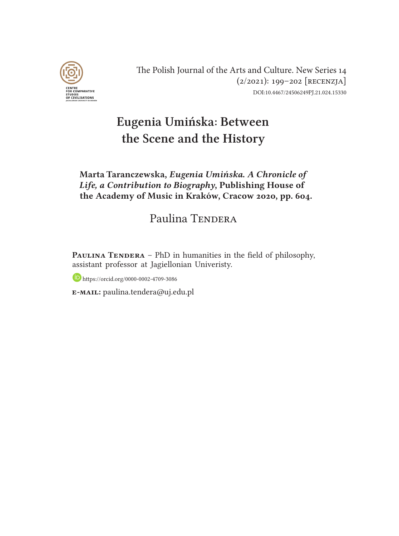

The Polish Journal of the Arts and Culture. New Series 14 (2/2021): 199–202 [recenzja] DOI:10.4467/24506249PJ.21.024.15330

## Eugenia Umińska: Between the Scene and the History

## Marta Taranczewska, *Eugenia Umińska. A Chronicle of Life, a Contribution to Biography*, Publishing House of the Academy of Music in Kraków, Cracow 2020, pp. 604.

## Paulina TENDERA

PAULINA TENDERA – PhD in humanities in the field of philosophy, assistant professor at Jagiellonian Univeristy.

https://orcid.org/0000-0002-4709-3086

e-mail: paulina.tendera@uj.edu.pl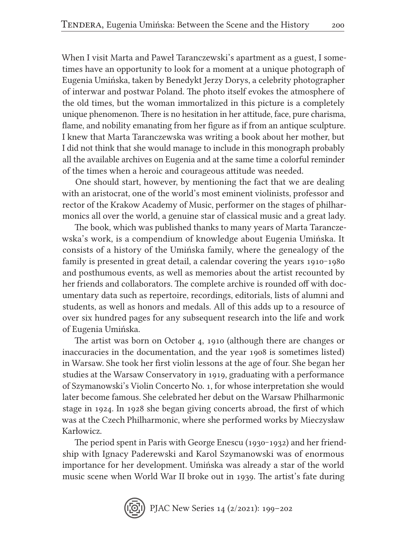When I visit Marta and Paweł Taranczewski's apartment as a guest, I sometimes have an opportunity to look for a moment at a unique photograph of Eugenia Umińska, taken by Benedykt Jerzy Dorys, a celebrity photographer of interwar and postwar Poland. The photo itself evokes the atmosphere of the old times, but the woman immortalized in this picture is a completely unique phenomenon. There is no hesitation in her attitude, face, pure charisma, flame, and nobility emanating from her figure as if from an antique sculpture. I knew that Marta Taranczewska was writing a book about her mother, but I did not think that she would manage to include in this monograph probably all the available archives on Eugenia and at the same time a colorful reminder of the times when a heroic and courageous attitude was needed.

One should start, however, by mentioning the fact that we are dealing with an aristocrat, one of the world's most eminent violinists, professor and rector of the Krakow Academy of Music, performer on the stages of philharmonics all over the world, a genuine star of classical music and a great lady.

The book, which was published thanks to many years of Marta Taranczewska's work, is a compendium of knowledge about Eugenia Umińska. It consists of a history of the Umińska family, where the genealogy of the family is presented in great detail, a calendar covering the years 1910-1980 and posthumous events, as well as memories about the artist recounted by her friends and collaborators. The complete archive is rounded off with documentary data such as repertoire, recordings, editorials, lists of alumni and students, as well as honors and medals. All of this adds up to a resource of over six hundred pages for any subsequent research into the life and work of Eugenia Umińska.

The artist was born on October 4, 1910 (although there are changes or inaccuracies in the documentation, and the year 1908 is sometimes listed) in Warsaw. She took her first violin lessons at the age of four. She began her studies at the Warsaw Conservatory in 1919, graduating with a performance of Szymanowski's Violin Concerto No. 1, for whose interpretation she would later become famous. She celebrated her debut on the Warsaw Philharmonic stage in 1924. In 1928 she began giving concerts abroad, the first of which was at the Czech Philharmonic, where she performed works by Mieczysław Karłowicz.

The period spent in Paris with George Enescu (1930-1932) and her friendship with Ignacy Paderewski and Karol Szymanowski was of enormous importance for her development. Umińska was already a star of the world music scene when World War II broke out in 1939. The artist's fate during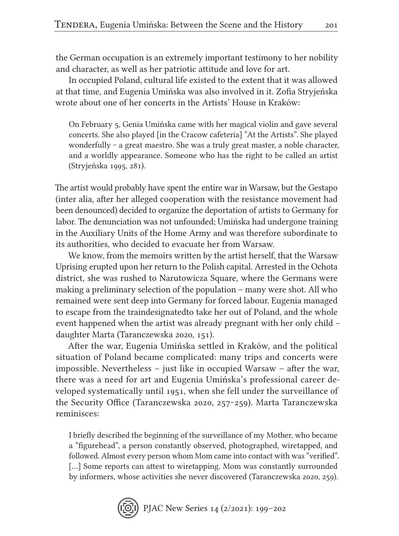the German occupation is an extremely important testimony to her nobility and character, as well as her patriotic attitude and love for art.

In occupied Poland, cultural life existed to the extent that it was allowed at that time, and Eugenia Umińska was also involved in it. Zofia Stryjeńska wrote about one of her concerts in the Artists' House in Kraków:

On February 5, Genia Umińska came with her magical violin and gave several concerts. She also played [in the Cracow cafeteria] "At the Artists". She played wonderfully ‒ a great maestro. She was a truly great master, a noble character, and a worldly appearance. Someone who has the right to be called an artist (Stryjeńska 1995, 281).

The artist would probably have spent the entire war in Warsaw, but the Gestapo (inter alia, after her alleged cooperation with the resistance movement had been denounced) decided to organize the deportation of artists to Germany for labor. The denunciation was not unfounded; Umińska had undergone training in the Auxiliary Units of the Home Army and was therefore subordinate to its authorities, who decided to evacuate her from Warsaw.

We know, from the memoirs written by the artist herself, that the Warsaw Uprising erupted upon her return to the Polish capital. Arrested in the Ochota district, she was rushed to Narutowicza Square, where the Germans were making a preliminary selection of the population – many were shot. All who remained were sent deep into Germany for forced labour. Eugenia managed to escape from the traindesignatedto take her out of Poland, and the whole event happened when the artist was already pregnant with her only child – daughter Marta (Taranczewska 2020, 151).

After the war, Eugenia Umińska settled in Kraków, and the political situation of Poland became complicated: many trips and concerts were impossible. Nevertheless – just like in occupied Warsaw – after the war, there was a need for art and Eugenia Umińska's professional career developed systematically until 1951, when she fell under the surveillance of the Security Office (Taranczewska 2020, 257–259). Marta Taranczewska reminisces:

I briefly described the beginning of the surveillance of my Mother, who became a "figurehead", a person constantly observed, photographed, wiretapped, and followed. Almost every person whom Mom came into contact with was "verified". [...] Some reports can attest to wiretapping. Mom was constantly surrounded by informers, whose activities she never discovered (Taranczewska 2020, 259).